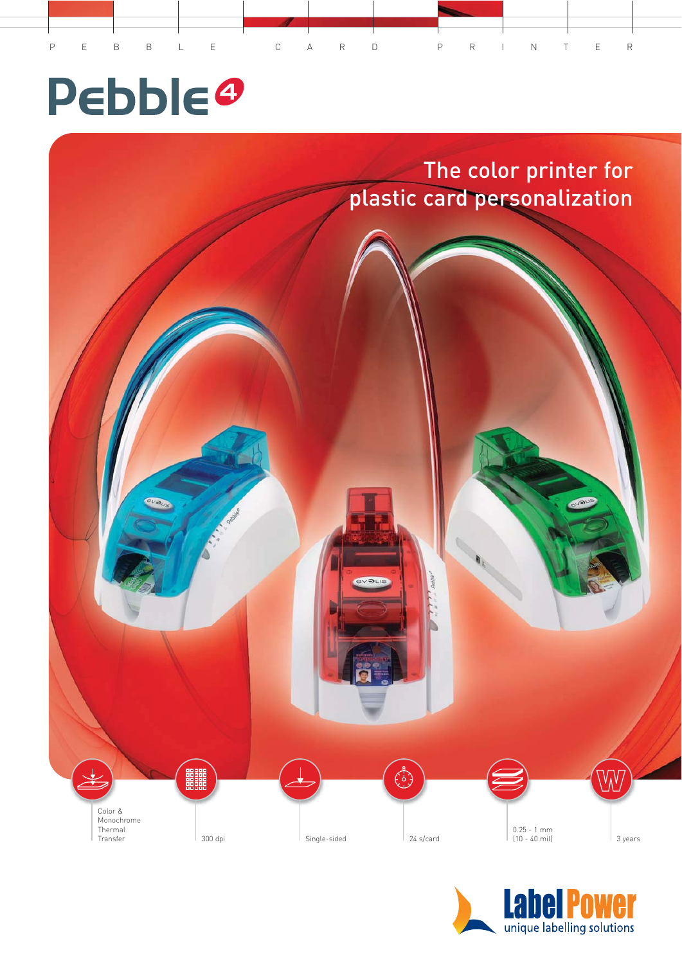

# **Pebble®**